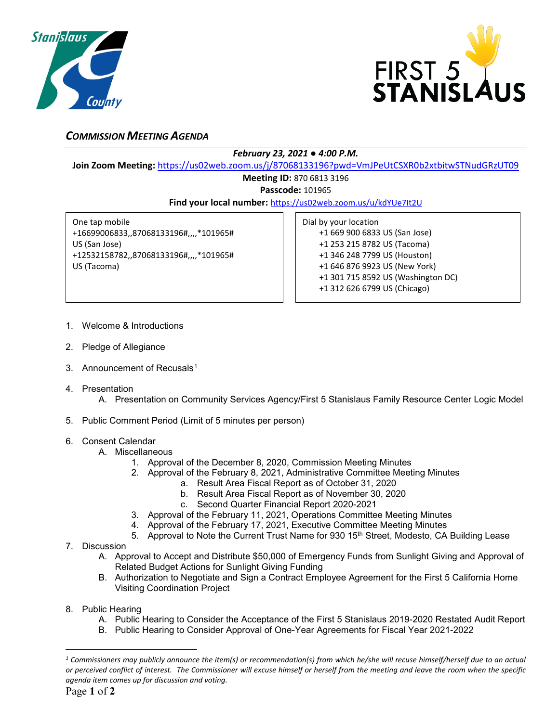



## *COMMISSION MEETING AGENDA*

## *February 23, 2021 ● 4:00 P.M.*

**Join Zoom Meeting:** <https://us02web.zoom.us/j/87068133196?pwd=VmJPeUtCSXR0b2xtbitwSTNudGRzUT09>

## **Meeting ID:** 870 6813 3196

**Passcode:** 101965

**Find your local number:** <https://us02web.zoom.us/u/kdYUe7It2U>

One tap mobile +16699006833,,87068133196#,,,,\*101965# US (San Jose) +12532158782,,87068133196#,,,,\*101965# US (Tacoma)

Dial by your location +1 669 900 6833 US (San Jose) +1 253 215 8782 US (Tacoma) +1 346 248 7799 US (Houston) +1 646 876 9923 US (New York) +1 301 715 8592 US (Washington DC) +1 312 626 6799 US (Chicago)

- 1. Welcome & Introductions
- 2. Pledge of Allegiance
- 3. Announcement of Recusals<sup>[1](#page-0-0)</sup>
- 4. Presentation
	- A. Presentation on Community Services Agency/First 5 Stanislaus Family Resource Center Logic Model
- 5. Public Comment Period (Limit of 5 minutes per person)

## 6. Consent Calendar

- A. Miscellaneous
	- 1. Approval of the December 8, 2020, Commission Meeting Minutes
	- 2. Approval of the February 8, 2021, Administrative Committee Meeting Minutes
		- a. Result Area Fiscal Report as of October 31, 2020
		- b. Result Area Fiscal Report as of November 30, 2020
		- c. Second Quarter Financial Report 2020-2021
	- 3. Approval of the February 11, 2021, Operations Committee Meeting Minutes
	- 4. Approval of the February 17, 2021, Executive Committee Meeting Minutes
- 5. Approval to Note the Current Trust Name for 930 15<sup>th</sup> Street, Modesto, CA Building Lease
- 7. Discussion
	- A. Approval to Accept and Distribute \$50,000 of Emergency Funds from Sunlight Giving and Approval of Related Budget Actions for Sunlight Giving Funding
	- B. Authorization to Negotiate and Sign a Contract Employee Agreement for the First 5 California Home Visiting Coordination Project
- 8. Public Hearing
	- A. Public Hearing to Consider the Acceptance of the First 5 Stanislaus 2019-2020 Restated Audit Report
	- B. Public Hearing to Consider Approval of One-Year Agreements for Fiscal Year 2021-2022

 $\overline{a}$ 

<span id="page-0-0"></span>*<sup>1</sup> Commissioners may publicly announce the item(s) or recommendation(s) from which he/she will recuse himself/herself due to an actual or perceived conflict of interest. The Commissioner will excuse himself or herself from the meeting and leave the room when the specific agenda item comes up for discussion and voting.*